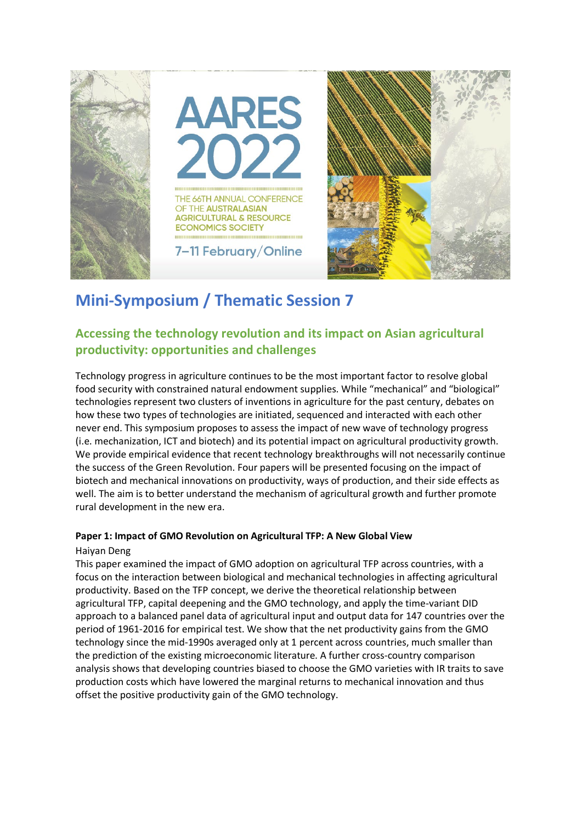

# **Mini-Symposium / Thematic Session 7**

### **Accessing the technology revolution and its impact on Asian agricultural productivity: opportunities and challenges**

Technology progress in agriculture continues to be the most important factor to resolve global food security with constrained natural endowment supplies. While "mechanical" and "biological" technologies represent two clusters of inventions in agriculture for the past century, debates on how these two types of technologies are initiated, sequenced and interacted with each other never end. This symposium proposes to assess the impact of new wave of technology progress (i.e. mechanization, ICT and biotech) and its potential impact on agricultural productivity growth. We provide empirical evidence that recent technology breakthroughs will not necessarily continue the success of the Green Revolution. Four papers will be presented focusing on the impact of biotech and mechanical innovations on productivity, ways of production, and their side effects as well. The aim is to better understand the mechanism of agricultural growth and further promote rural development in the new era.

#### **Paper 1: Impact of GMO Revolution on Agricultural TFP: A New Global View**

#### Haiyan Deng

This paper examined the impact of GMO adoption on agricultural TFP across countries, with a focus on the interaction between biological and mechanical technologies in affecting agricultural productivity. Based on the TFP concept, we derive the theoretical relationship between agricultural TFP, capital deepening and the GMO technology, and apply the time-variant DID approach to a balanced panel data of agricultural input and output data for 147 countries over the period of 1961-2016 for empirical test. We show that the net productivity gains from the GMO technology since the mid-1990s averaged only at 1 percent across countries, much smaller than the prediction of the existing microeconomic literature. A further cross-country comparison analysis shows that developing countries biased to choose the GMO varieties with IR traits to save production costs which have lowered the marginal returns to mechanical innovation and thus offset the positive productivity gain of the GMO technology.